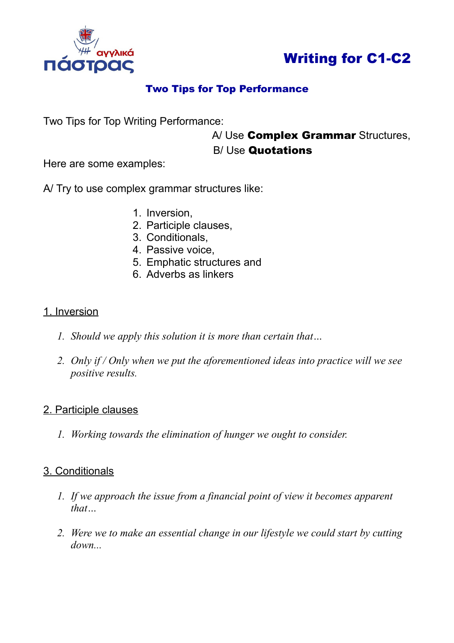



## Two Tips for Top Performance

Two Tips for Top Writing Performance:

# A/ Use **Complex Grammar** Structures,

## B/ Use Quotations

Here are some examples:

A/ Try to use complex grammar structures like:

- 1. Inversion,
- 2. Participle clauses,
- 3. Conditionals,
- 4. Passive voice,
- 5. Emphatic structures and
- 6. Adverbs as linkers

#### 1. Inversion

- *1. Should we apply this solution it is more than certain that…*
- *2. Only if / Only when we put the aforementioned ideas into practice will we see positive results.*

## 2. Participle clauses

*1. Working towards the elimination of hunger we ought to consider.*

## 3. Conditionals

- *1. If we approach the issue from a financial point of view it becomes apparent that…*
- *2. Were we to make an essential change in our lifestyle we could start by cutting down...*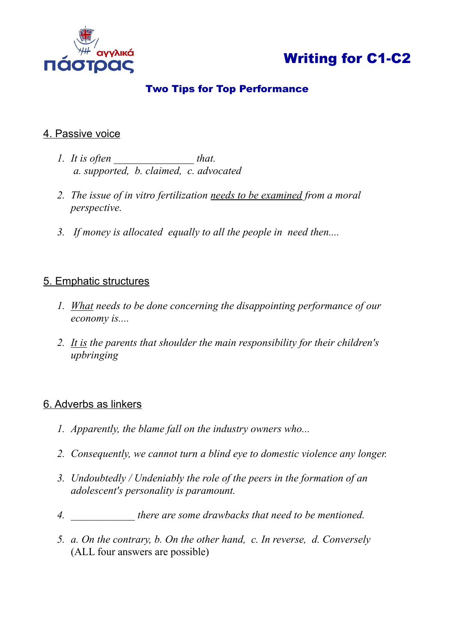

## Writing for C1-C2

## Two Tips for Top Performance

#### 4. Passive voice

- *1. It is often* that.  *a. supported, b. claimed, c. advocated*
- *2. The issue of in vitro fertilization needs to be examined from a moral perspective.*
- *3. If money is allocated equally to all the people in need then....*

#### 5. Emphatic structures

- *1. What needs to be done concerning the disappointing performance of our economy is....*
- *2. It is the parents that shoulder the main responsibility for their children's upbringing*

#### 6. Adverbs as linkers

- *1. Apparently, the blame fall on the industry owners who...*
- *2. Consequently, we cannot turn a blind eye to domestic violence any longer.*
- *3. Undoubtedly / Undeniably the role of the peers in the formation of an adolescent's personality is paramount.*
- *4. \_\_\_\_\_\_\_\_\_\_\_\_ there are some drawbacks that need to be mentioned.*
- *5. a. On the contrary, b. On the other hand, c. In reverse, d. Conversely*  (ALL four answers are possible)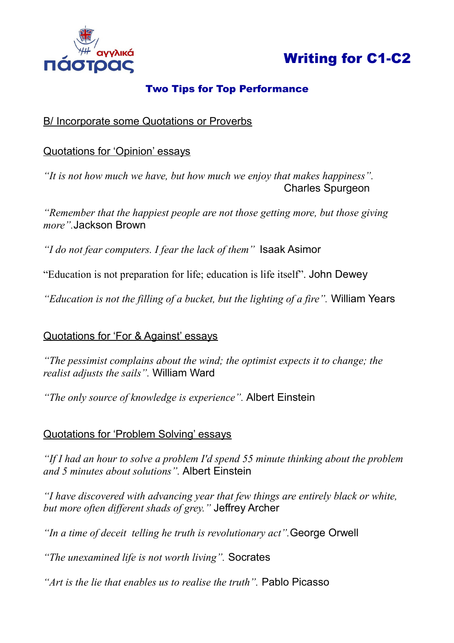

## Writing for C1-C2

## Two Tips for Top Performance

## B/ Incorporate some Quotations or Proverbs

## Quotations for 'Opinion' essays

*"It is not how much we have, but how much we enjoy that makes happiness".* **Charles Spurgeon** 

*"Remember that the happiest people are not those getting more, but those giving more".*Jackson Brown

*"I do not fear computers. I fear the lack of them"* Isaak Asimor

"Education is not preparation for life; education is life itself". John Dewey

*"Education is not the filling of a bucket, but the lighting of a fire".* William Years

## Quotations for 'For & Against' essays

*"The pessimist complains about the wind; the optimist expects it to change; the realist adjusts the sails".* William Ward

*"The only source of knowledge is experience".* Albert Einstein

## Quotations for 'Problem Solving' essays

*"If I had an hour to solve a problem I'd spend 55 minute thinking about the problem and 5 minutes about solutions".* Albert Einstein

*"I have discovered with advancing year that few things are entirely black or white, but more often different shads of grey."* Jeffrey Archer

*"In a time of deceit telling he truth is revolutionary act".*George Orwell

*"The unexamined life is not worth living".* Socrates

*"Art is the lie that enables us to realise the truth".* Pablo Picasso